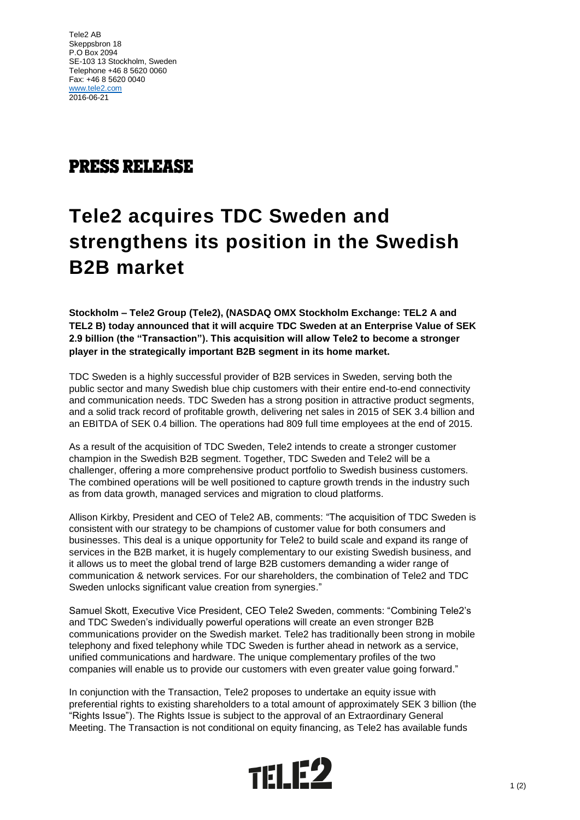Tele2 AB Skeppsbron 18 P.O Box 2094 SE-103 13 Stockholm, Sweden Telephone +46 8 5620 0060 Fax: +46 8 5620 0040 [www.tele2.com](http://www.tele2.com/) 2016-06-21

## **PRESS RELEASE**

# **Tele2 acquires TDC Sweden and strengthens its position in the Swedish B2B market**

**Stockholm – Tele2 Group (Tele2), (NASDAQ OMX Stockholm Exchange: TEL2 A and TEL2 B) today announced that it will acquire TDC Sweden at an Enterprise Value of SEK 2.9 billion (the "Transaction"). This acquisition will allow Tele2 to become a stronger player in the strategically important B2B segment in its home market.**

TDC Sweden is a highly successful provider of B2B services in Sweden, serving both the public sector and many Swedish blue chip customers with their entire end-to-end connectivity and communication needs. TDC Sweden has a strong position in attractive product segments, and a solid track record of profitable growth, delivering net sales in 2015 of SEK 3.4 billion and an EBITDA of SEK 0.4 billion. The operations had 809 full time employees at the end of 2015.

As a result of the acquisition of TDC Sweden, Tele2 intends to create a stronger customer champion in the Swedish B2B segment. Together, TDC Sweden and Tele2 will be a challenger, offering a more comprehensive product portfolio to Swedish business customers. The combined operations will be well positioned to capture growth trends in the industry such as from data growth, managed services and migration to cloud platforms.

Allison Kirkby, President and CEO of Tele2 AB, comments: "The acquisition of TDC Sweden is consistent with our strategy to be champions of customer value for both consumers and businesses. This deal is a unique opportunity for Tele2 to build scale and expand its range of services in the B2B market, it is hugely complementary to our existing Swedish business, and it allows us to meet the global trend of large B2B customers demanding a wider range of communication & network services. For our shareholders, the combination of Tele2 and TDC Sweden unlocks significant value creation from synergies."

Samuel Skott, Executive Vice President, CEO Tele2 Sweden, comments: "Combining Tele2's and TDC Sweden's individually powerful operations will create an even stronger B2B communications provider on the Swedish market. Tele2 has traditionally been strong in mobile telephony and fixed telephony while TDC Sweden is further ahead in network as a service, unified communications and hardware. The unique complementary profiles of the two companies will enable us to provide our customers with even greater value going forward."

In conjunction with the Transaction, Tele2 proposes to undertake an equity issue with preferential rights to existing shareholders to a total amount of approximately SEK 3 billion (the "Rights Issue"). The Rights Issue is subject to the approval of an Extraordinary General Meeting. The Transaction is not conditional on equity financing, as Tele2 has available funds

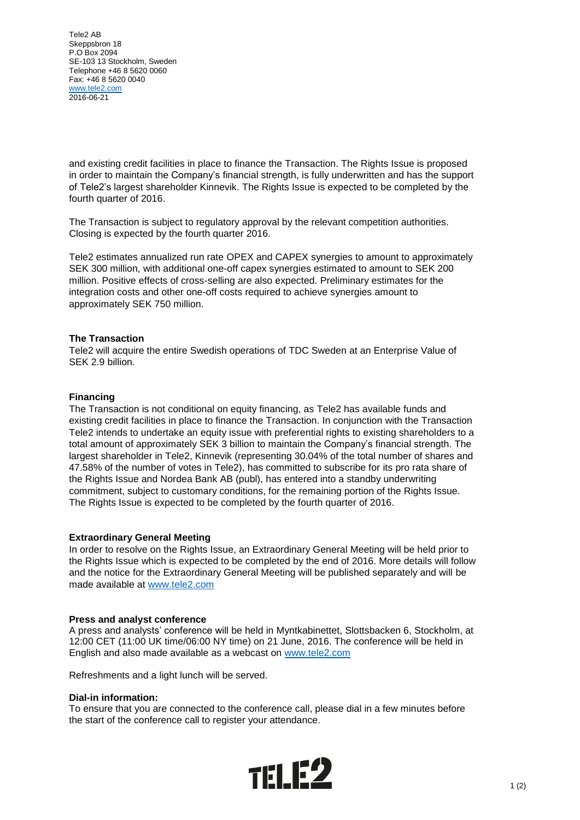Tele2 AB Skeppsbron 18 P.O Box 2094 SE-103 13 Stockholm, Sweden Telephone +46 8 5620 0060 Fax: +46 8 5620 0040 [www.tele2.com](http://www.tele2.com/) 2016-06-21

and existing credit facilities in place to finance the Transaction. The Rights Issue is proposed in order to maintain the Company's financial strength, is fully underwritten and has the support of Tele2's largest shareholder Kinnevik. The Rights Issue is expected to be completed by the fourth quarter of 2016.

The Transaction is subject to regulatory approval by the relevant competition authorities. Closing is expected by the fourth quarter 2016.

Tele2 estimates annualized run rate OPEX and CAPEX synergies to amount to approximately SEK 300 million, with additional one-off capex synergies estimated to amount to SEK 200 million. Positive effects of cross-selling are also expected. Preliminary estimates for the integration costs and other one-off costs required to achieve synergies amount to approximately SEK 750 million.

#### **The Transaction**

Tele2 will acquire the entire Swedish operations of TDC Sweden at an Enterprise Value of SEK 2.9 billion.

#### **Financing**

The Transaction is not conditional on equity financing, as Tele2 has available funds and existing credit facilities in place to finance the Transaction. In conjunction with the Transaction Tele2 intends to undertake an equity issue with preferential rights to existing shareholders to a total amount of approximately SEK 3 billion to maintain the Company's financial strength. The largest shareholder in Tele2, Kinnevik (representing 30.04% of the total number of shares and 47.58% of the number of votes in Tele2), has committed to subscribe for its pro rata share of the Rights Issue and Nordea Bank AB (publ), has entered into a standby underwriting commitment, subject to customary conditions, for the remaining portion of the Rights Issue. The Rights Issue is expected to be completed by the fourth quarter of 2016.

#### **Extraordinary General Meeting**

In order to resolve on the Rights Issue, an Extraordinary General Meeting will be held prior to the Rights Issue which is expected to be completed by the end of 2016. More details will follow and the notice for the Extraordinary General Meeting will be published separately and will be made available at [www.tele2.com](http://www.tele2.com/)

#### **Press and analyst conference**

A press and analysts' conference will be held in Myntkabinettet, Slottsbacken 6, Stockholm, at 12:00 CET (11:00 UK time/06:00 NY time) on 21 June, 2016. The conference will be held in English and also made available as a webcast on [www.tele2.com](http://www.tele2.com/)

Refreshments and a light lunch will be served.

#### **Dial-in information:**

To ensure that you are connected to the conference call, please dial in a few minutes before the start of the conference call to register your attendance.